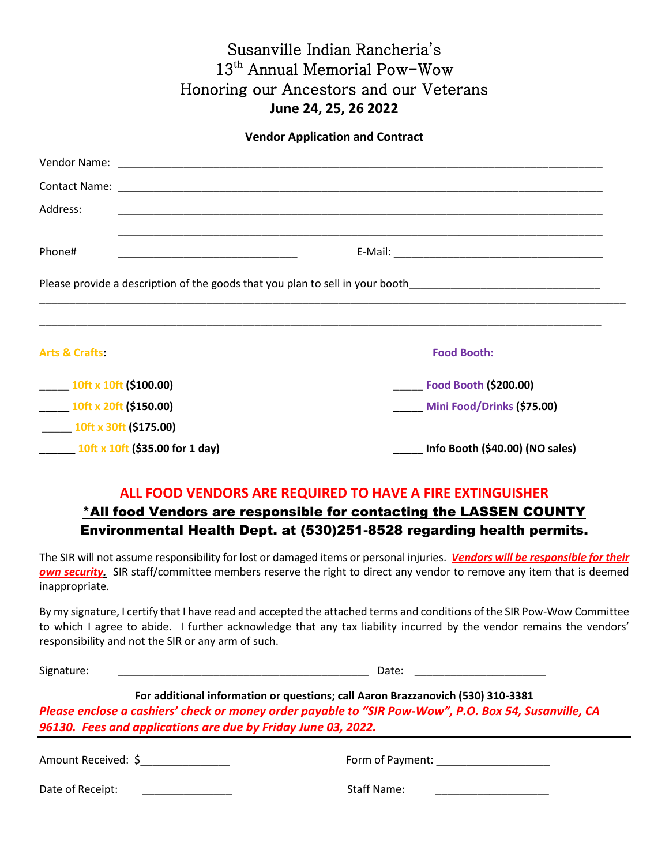## Susanville Indian Rancheria's 13<sup>th</sup> Annual Memorial Pow-Wow Honoring our Ancestors and our Veterans **June 24, 25, 26 2022**

**Vendor Application and Contract**

| Address:                                                                                                       |                                        |
|----------------------------------------------------------------------------------------------------------------|----------------------------------------|
| Phone#                                                                                                         |                                        |
| Please provide a description of the goods that you plan to sell in your booth_________________________________ |                                        |
| <b>Arts &amp; Crafts:</b>                                                                                      | <b>Food Booth:</b>                     |
| $\frac{10}{10}$ x 10ft (\$100.00)                                                                              | <b>Example 1 Food Booth (\$200.00)</b> |
| $\frac{10}{10}$ 10ft x 20ft (\$150.00)                                                                         | Mini Food/Drinks (\$75.00)             |
| $10ft \times 30ft$ (\$175.00)                                                                                  |                                        |
| $10$ ft x 10ft (\$35.00 for 1 day)                                                                             | Info Booth (\$40.00) (NO sales)        |

## **ALL FOOD VENDORS ARE REQUIRED TO HAVE A FIRE EXTINGUISHER**

## \*All food Vendors are responsible for contacting the LASSEN COUNTY Environmental Health Dept. at (530)251-8528 regarding health permits.

The SIR will not assume responsibility for lost or damaged items or personal injuries. *Vendors will be responsible for their own security.* SIR staff/committee members reserve the right to direct any vendor to remove any item that is deemed inappropriate.

By my signature, I certify that I have read and accepted the attached terms and conditions of the SIR Pow-Wow Committee to which I agree to abide. I further acknowledge that any tax liability incurred by the vendor remains the vendors' responsibility and not the SIR or any arm of such.

| Signature:                                                                                                                                                                                                                                                | Date:                              |  |
|-----------------------------------------------------------------------------------------------------------------------------------------------------------------------------------------------------------------------------------------------------------|------------------------------------|--|
| For additional information or questions; call Aaron Brazzanovich (530) 310-3381<br>Please enclose a cashiers' check or money order payable to "SIR Pow-Wow", P.O. Box 54, Susanville, CA<br>96130. Fees and applications are due by Friday June 03, 2022. |                                    |  |
| Amount Received: \$                                                                                                                                                                                                                                       | Form of Payment: National Payment: |  |
| Date of Receipt:                                                                                                                                                                                                                                          | <b>Staff Name:</b>                 |  |